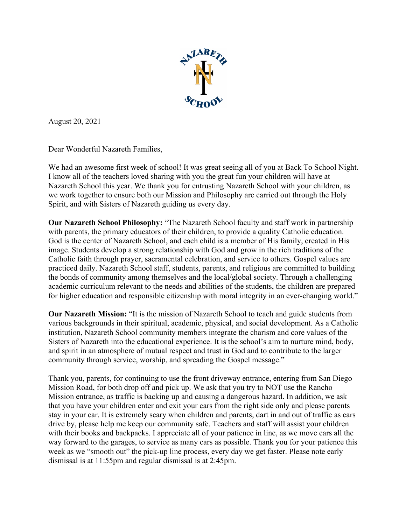

August 20, 2021

Dear Wonderful Nazareth Families,

We had an awesome first week of school! It was great seeing all of you at Back To School Night. I know all of the teachers loved sharing with you the great fun your children will have at Nazareth School this year. We thank you for entrusting Nazareth School with your children, as we work together to ensure both our Mission and Philosophy are carried out through the Holy Spirit, and with Sisters of Nazareth guiding us every day.

**Our Nazareth School Philosophy:** "The Nazareth School faculty and staff work in partnership with parents, the primary educators of their children, to provide a quality Catholic education. God is the center of Nazareth School, and each child is a member of His family, created in His image. Students develop a strong relationship with God and grow in the rich traditions of the Catholic faith through prayer, sacramental celebration, and service to others. Gospel values are practiced daily. Nazareth School staff, students, parents, and religious are committed to building the bonds of community among themselves and the local/global society. Through a challenging academic curriculum relevant to the needs and abilities of the students, the children are prepared for higher education and responsible citizenship with moral integrity in an ever-changing world."

**Our Nazareth Mission:** "It is the mission of Nazareth School to teach and guide students from various backgrounds in their spiritual, academic, physical, and social development. As a Catholic institution, Nazareth School community members integrate the charism and core values of the Sisters of Nazareth into the educational experience. It is the school's aim to nurture mind, body, and spirit in an atmosphere of mutual respect and trust in God and to contribute to the larger community through service, worship, and spreading the Gospel message."

Thank you, parents, for continuing to use the front driveway entrance, entering from San Diego Mission Road, for both drop off and pick up. We ask that you try to NOT use the Rancho Mission entrance, as traffic is backing up and causing a dangerous hazard. In addition, we ask that you have your children enter and exit your cars from the right side only and please parents stay in your car. It is extremely scary when children and parents, dart in and out of traffic as cars drive by, please help me keep our community safe. Teachers and staff will assist your children with their books and backpacks. I appreciate all of your patience in line, as we move cars all the way forward to the garages, to service as many cars as possible. Thank you for your patience this week as we "smooth out" the pick-up line process, every day we get faster. Please note early dismissal is at 11:55pm and regular dismissal is at 2:45pm.